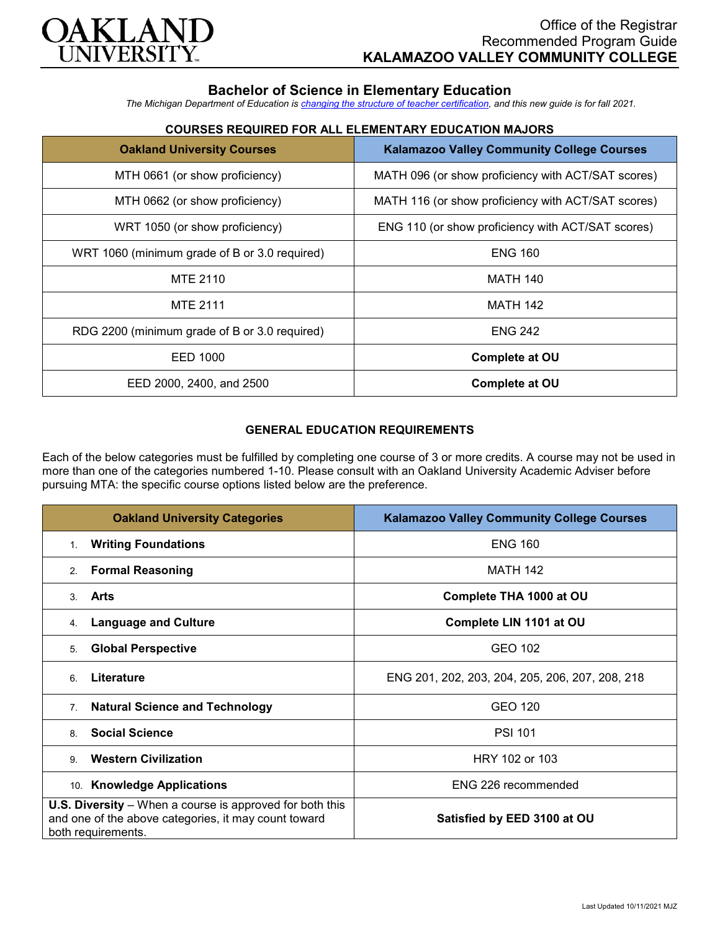

# **Bachelor of Science in Elementary Education**

*The Michigan Department of Education is [changing the structure of teacher certification,](https://docs.google.com/document/d/1W1uUK14Njx6WAB56T4jHbat65OZyg6TS04LdNWMXEcI/edit) and this new guide is for fall 2021.*

## **COURSES REQUIRED FOR ALL ELEMENTARY EDUCATION MAJORS**

| <b>Oakland University Courses</b>             | <b>Kalamazoo Valley Community College Courses</b>  |
|-----------------------------------------------|----------------------------------------------------|
| MTH 0661 (or show proficiency)                | MATH 096 (or show proficiency with ACT/SAT scores) |
| MTH 0662 (or show proficiency)                | MATH 116 (or show proficiency with ACT/SAT scores) |
| WRT 1050 (or show proficiency)                | ENG 110 (or show proficiency with ACT/SAT scores)  |
| WRT 1060 (minimum grade of B or 3.0 required) | <b>ENG 160</b>                                     |
| MTE 2110                                      | <b>MATH 140</b>                                    |
| <b>MTE 2111</b>                               | <b>MATH 142</b>                                    |
| RDG 2200 (minimum grade of B or 3.0 required) | <b>ENG 242</b>                                     |
| EED 1000                                      | <b>Complete at OU</b>                              |
| EED 2000, 2400, and 2500                      | <b>Complete at OU</b>                              |

### **GENERAL EDUCATION REQUIREMENTS**

Each of the below categories must be fulfilled by completing one course of 3 or more credits. A course may not be used in more than one of the categories numbered 1-10. Please consult with an Oakland University Academic Adviser before pursuing MTA: the specific course options listed below are the preference.

| <b>Oakland University Categories</b>                                                                                                          | <b>Kalamazoo Valley Community College Courses</b> |
|-----------------------------------------------------------------------------------------------------------------------------------------------|---------------------------------------------------|
| <b>Writing Foundations</b><br>1.                                                                                                              | <b>ENG 160</b>                                    |
| <b>Formal Reasoning</b><br>2 <sub>1</sub>                                                                                                     | <b>MATH 142</b>                                   |
| Arts<br>$\mathcal{S}$                                                                                                                         | Complete THA 1000 at OU                           |
| <b>Language and Culture</b><br>4.                                                                                                             | Complete LIN 1101 at OU                           |
| <b>Global Perspective</b><br>5.                                                                                                               | GEO 102                                           |
| Literature<br>6                                                                                                                               | ENG 201, 202, 203, 204, 205, 206, 207, 208, 218   |
| <b>Natural Science and Technology</b><br>7 <sub>1</sub>                                                                                       | GEO 120                                           |
| <b>Social Science</b><br>8                                                                                                                    | <b>PSI 101</b>                                    |
| <b>Western Civilization</b><br>$\mathbf{Q}$                                                                                                   | HRY 102 or 103                                    |
| 10. Knowledge Applications                                                                                                                    | ENG 226 recommended                               |
| <b>U.S. Diversity</b> – When a course is approved for both this<br>and one of the above categories, it may count toward<br>both requirements. | Satisfied by EED 3100 at OU                       |